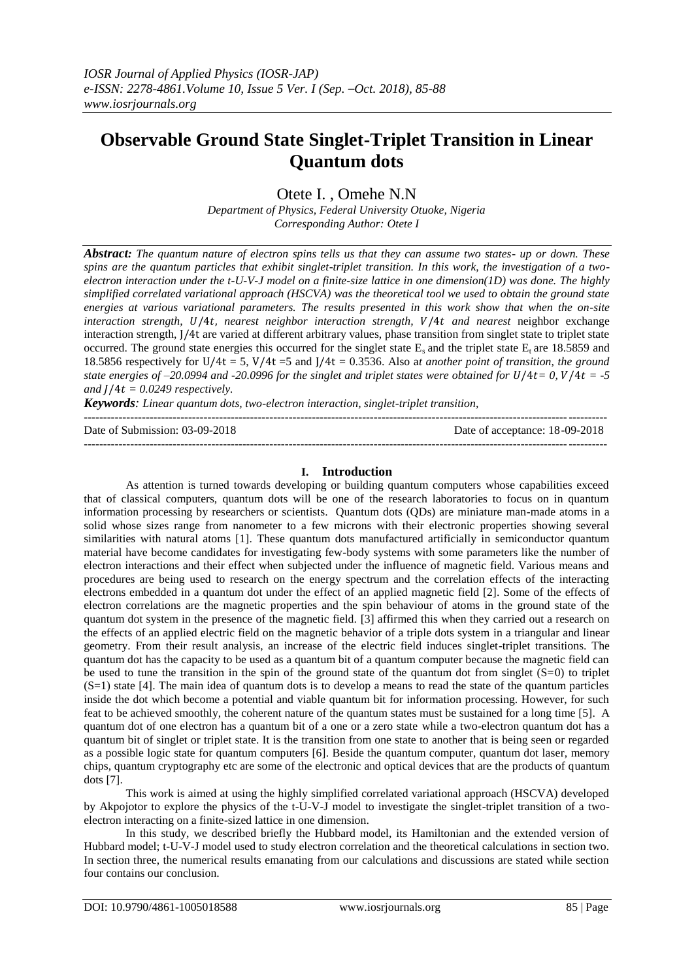# **Observable Ground State Singlet-Triplet Transition in Linear Quantum dots**

Otete I. , Omehe N.N

*Department of Physics, Federal University Otuoke, Nigeria Corresponding Author: Otete I*

*Abstract: The quantum nature of electron spins tells us that they can assume two states- up or down. These spins are the quantum particles that exhibit singlet-triplet transition. In this work, the investigation of a twoelectron interaction under the t-U-V-J model on a finite-size lattice in one dimension(1D) was done. The highly simplified correlated variational approach (HSCVA) was the theoretical tool we used to obtain the ground state energies at various variational parameters. The results presented in this work show that when the on-site interaction strength, U/4t, nearest neighbor interaction strength, V/4t and nearest neighbor exchange* interaction strength, J/4t are varied at different arbitrary values, phase transition from singlet state to triplet state occurred. The ground state energies this occurred for the singlet state  $E_s$  and the triplet state  $E_t$  are 18.5859 and 18.5856 respectively for U/4t = 5, V/4t =5 and J/4t = 0.3536. Also a*t another point of transition, the ground state energies of -20.0994 and -20.0996 for the singlet and triplet states were obtained for*  $U/4t = 0$ *,*  $V/4t = -5$ and  $J/4t = 0.0249$  respectively.

*Keywords: Linear quantum dots, two-electron interaction, singlet-triplet transition,* ---------------------------------------------------------------------------------------------------------------------------------------

Date of Submission: 03-09-2018 Date of acceptance: 18-09-2018

## **I. Introduction**

---------------------------------------------------------------------------------------------------------------------------------------

As attention is turned towards developing or building quantum computers whose capabilities exceed that of classical computers, quantum dots will be one of the research laboratories to focus on in quantum information processing by researchers or scientists. Quantum dots (QDs) are miniature man-made atoms in a solid whose sizes range from nanometer to a few microns with their electronic properties showing several similarities with natural atoms [1]. These quantum dots manufactured artificially in semiconductor quantum material have become candidates for investigating few-body systems with some parameters like the number of electron interactions and their effect when subjected under the influence of magnetic field. Various means and procedures are being used to research on the energy spectrum and the correlation effects of the interacting electrons embedded in a quantum dot under the effect of an applied magnetic field [2]. Some of the effects of electron correlations are the magnetic properties and the spin behaviour of atoms in the ground state of the quantum dot system in the presence of the magnetic field. [3] affirmed this when they carried out a research on the effects of an applied electric field on the magnetic behavior of a triple dots system in a triangular and linear geometry. From their result analysis, an increase of the electric field induces singlet-triplet transitions. The quantum dot has the capacity to be used as a quantum bit of a quantum computer because the magnetic field can be used to tune the transition in the spin of the ground state of the quantum dot from singlet  $(S=0)$  to triplet  $(S=1)$  state [4]. The main idea of quantum dots is to develop a means to read the state of the quantum particles inside the dot which become a potential and viable quantum bit for information processing. However, for such feat to be achieved smoothly, the coherent nature of the quantum states must be sustained for a long time [5]. A quantum dot of one electron has a quantum bit of a one or a zero state while a two-electron quantum dot has a quantum bit of singlet or triplet state. It is the transition from one state to another that is being seen or regarded as a possible logic state for quantum computers [6]. Beside the quantum computer, quantum dot laser, memory chips, quantum cryptography etc are some of the electronic and optical devices that are the products of quantum dots [7].

This work is aimed at using the highly simplified correlated variational approach (HSCVA) developed by Akpojotor to explore the physics of the t-U-V-J model to investigate the singlet-triplet transition of a twoelectron interacting on a finite-sized lattice in one dimension.

In this study, we described briefly the Hubbard model, its Hamiltonian and the extended version of Hubbard model; t-U-V-J model used to study electron correlation and the theoretical calculations in section two. In section three, the numerical results emanating from our calculations and discussions are stated while section four contains our conclusion.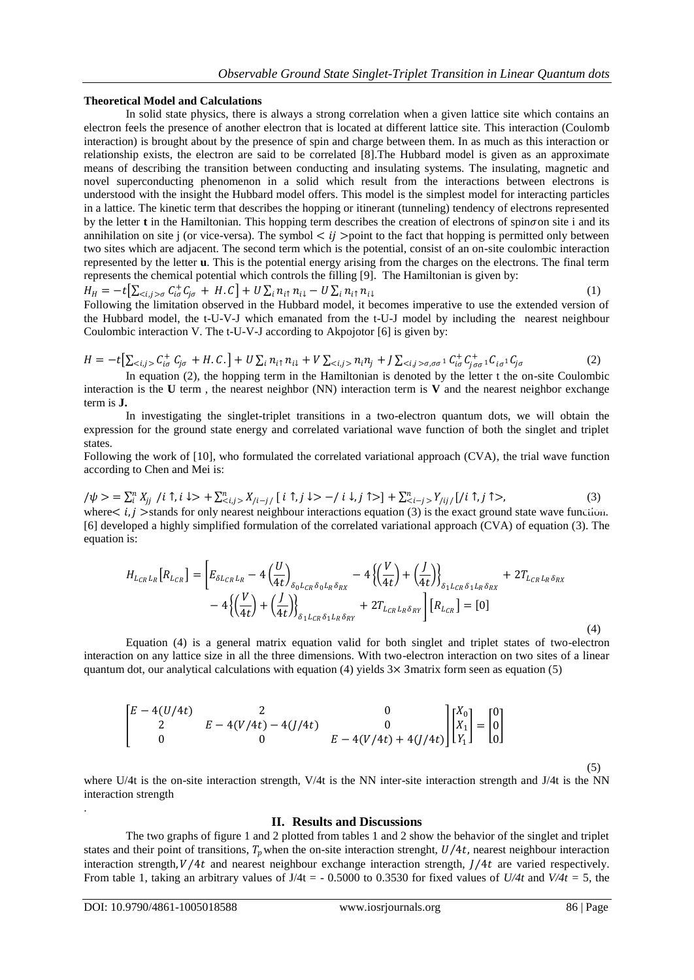### **Theoretical Model and Calculations**

In solid state physics, there is always a strong correlation when a given lattice site which contains an electron feels the presence of another electron that is located at different lattice site. This interaction (Coulomb interaction) is brought about by the presence of spin and charge between them. In as much as this interaction or relationship exists, the electron are said to be correlated [8].The Hubbard model is given as an approximate means of describing the transition between conducting and insulating systems. The insulating, magnetic and novel superconducting phenomenon in a solid which result from the interactions between electrons is understood with the insight the Hubbard model offers. This model is the simplest model for interacting particles in a lattice. The kinetic term that describes the hopping or itinerant (tunneling) tendency of electrons represented by the letter **t** in the Hamiltonian. This hopping term describes the creation of electrons of spin $\sigma$  on site i and its annihilation on site j (or vice-versa). The symbol  $\lt i j$  >point to the fact that hopping is permitted only between two sites which are adjacent. The second term which is the potential, consist of an on-site coulombic interaction represented by the letter **u**. This is the potential energy arising from the charges on the electrons. The final term represents the chemical potential which controls the filling [9]. The Hamiltonian is given by:

 $H_H = -t \Big[ \sum_{\langle i,j \rangle \sigma} C_{i\sigma}^+ C_{j\sigma} + H.C \Big] + U \sum_i n_{i\uparrow} n_{i\downarrow} - U \sum_i n_{i\uparrow} n_{i\downarrow}$  (1) Following the limitation observed in the Hubbard model, it becomes imperative to use the extended version of

the Hubbard model, the t-U-V-J which emanated from the t-U-J model by including the nearest neighbour Coulombic interaction V. The t-U-V-J according to Akpojotor [6] is given by:

$$
H = -t\left[\sum_{\langle i,j\rangle} C_{i\sigma}^+ C_{j\sigma} + H.c.\right] + U\sum_i n_{i\uparrow} n_{i\downarrow} + V\sum_{\langle i,j\rangle} n_i n_j + J\sum_{\langle i,j\rangle\sigma,\sigma\sigma} C_{i\sigma}^+ C_{i\sigma}^+ C_{i\sigma}^+ C_{i\sigma}^+ C_{j\sigma} \tag{2}
$$

In equation (2), the hopping term in the Hamiltonian is denoted by the letter t the on-site Coulombic interaction is the **U** term, the nearest neighbor (NN) interaction term is **V** and the nearest neighbor exchange term is **J.**

In investigating the singlet-triplet transitions in a two-electron quantum dots, we will obtain the expression for the ground state energy and correlated variational wave function of both the singlet and triplet states.

Following the work of [10], who formulated the correlated variational approach (CVA), the trial wave function according to Chen and Mei is:

 $/\psi$  > =  $\sum_{i}^{n} X_{jj} / i \uparrow, i \downarrow$  +  $\sum_{i,j}^{n} X_{j_{i-j/}} [i \uparrow, j \downarrow$  -  $/i \downarrow, j \uparrow$  >  $] + \sum_{i=j}^{n} Y_{j_{ij/}} [j \uparrow, j \uparrow$ , (3) where  $\lt i, j$  >stands for only nearest neighbour interactions equation (3) is the exact ground state wave function. [6] developed a highly simplified formulation of the correlated variational approach (CVA) of equation (3). The equation is:

$$
H_{L_{CR}L_{R}}[R_{L_{CR}}] = \left[ E_{\delta L_{CR}L_{R}} - 4\left(\frac{U}{4t}\right)_{\delta_{0}L_{CR}\delta_{0}L_{R}\delta_{RX}} - 4\left\{ \left(\frac{V}{4t}\right) + \left(\frac{J}{4t}\right) \right\}_{\delta_{1}L_{CR}\delta_{1}L_{R}\delta_{RX}} + 2T_{L_{CR}L_{R}\delta_{RX}} - 4\left\{ \left(\frac{V}{4t}\right) + \left(\frac{J}{4t}\right) \right\}_{\delta_{1}L_{CR}\delta_{1}L_{R}\delta_{RY}} - 4T_{L_{CR}L_{R}\delta_{RY}} \right]
$$

Equation (4) is a general matrix equation valid for both singlet and triplet states of two-electron interaction on any lattice size in all the three dimensions. With two-electron interaction on two sites of a linear quantum dot, our analytical calculations with equation (4) yields  $3\times$  3matrix form seen as equation (5)

$$
\begin{bmatrix} E - 4(U/4t) & 2 & 0 \ 2 & E - 4(V/4t) - 4(J/4t) & 0 \ 0 & 0 & E - 4(V/4t) + 4(J/4t) \end{bmatrix} \begin{bmatrix} X_0 \\ X_1 \\ Y_1 \end{bmatrix} = \begin{bmatrix} 0 \\ 0 \\ 0 \end{bmatrix}
$$

where U/4t is the on-site interaction strength, V/4t is the NN inter-site interaction strength and J/4t is the NN interaction strength

#### **II. Results and Discussions**

The two graphs of figure 1 and 2 plotted from tables 1 and 2 show the behavior of the singlet and triplet states and their point of transitions,  $T_p$  when the on-site interaction strenght,  $U/4t$ , nearest neighbour interaction interaction strength,  $V/4t$  and nearest neighbour exchange interaction strength,  $J/4t$  are varied respectively. From table 1, taking an arbitrary values of  $J/4t = -0.5000$  to 0.3530 for fixed values of  $U/4t$  and  $V/4t = 5$ , the

.

(4)

(5)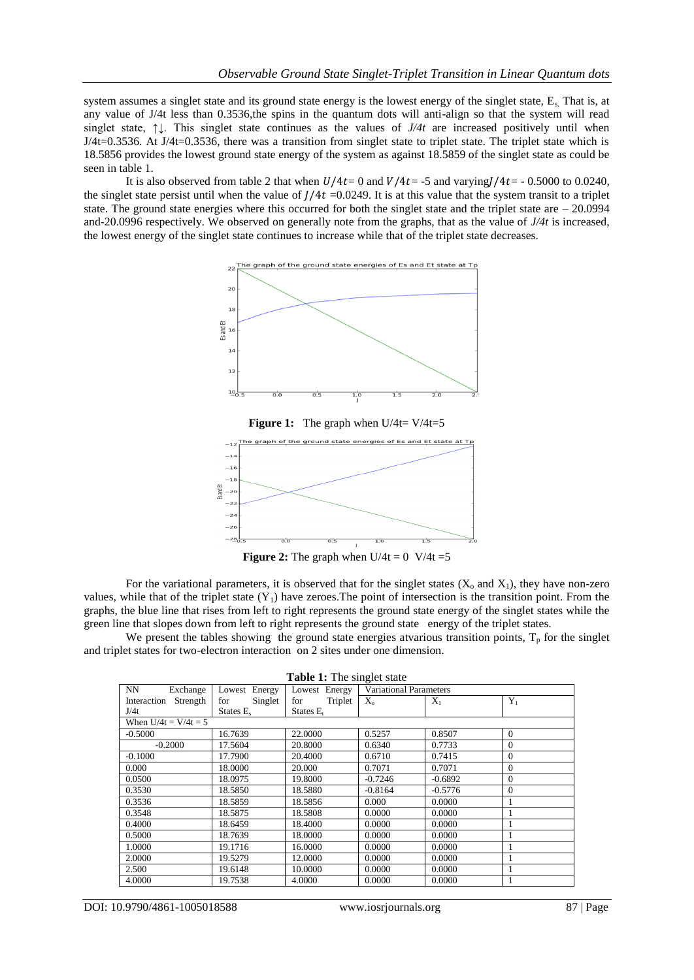system assumes a singlet state and its ground state energy is the lowest energy of the singlet state, E. That is, at any value of J/4t less than 0.3536, the spins in the quantum dots will anti-align so that the system will read singlet state, ↑↓. This singlet state continues as the values of *J/4t* are increased positively until when J/4t=0.3536. At J/4t=0.3536, there was a transition from singlet state to triplet state. The triplet state which is 18.5856 provides the lowest ground state energy of the system as against 18.5859 of the singlet state as could be seen in table 1.

It is also observed from table 2 that when  $U/4t=0$  and  $V/4t=$  -5 and varying/ $/4t=$  - 0.5000 to 0.0240, the singlet state persist until when the value of  $J/4t = 0.0249$ . It is at this value that the system transit to a triplet state. The ground state energies where this occurred for both the singlet state and the triplet state are  $-20.0994$ and-20.0996 respectively. We observed on generally note from the graphs, that as the value of *J/4t* is increased, the lowest energy of the singlet state continues to increase while that of the triplet state decreases.



**Figure 1:** The graph when U/4t= V/4t=5



**Figure 2:** The graph when  $U/4t = 0$   $V/4t = 5$ 

For the variational parameters, it is observed that for the singlet states  $(X_0 \text{ and } X_1)$ , they have non-zero values, while that of the triplet state  $(Y_1)$  have zeroes. The point of intersection is the transition point. From the graphs, the blue line that rises from left to right represents the ground state energy of the singlet states while the green line that slopes down from left to right represents the ground state energy of the triplet states.

We present the tables showing the ground state energies atvarious transition points,  $T_p$  for the singlet and triplet states for two-electron interaction on 2 sites under one dimension.

| NN.<br>Exchange         | Lowest Energy  | Lowest Energy  | <b>Variational Parameters</b> |           |              |  |  |  |
|-------------------------|----------------|----------------|-------------------------------|-----------|--------------|--|--|--|
| Strength<br>Interaction | Singlet<br>for | Triplet<br>for | $X_{\alpha}$                  | $X_1$     | $Y_1$        |  |  |  |
| J/4t                    | States E.      | States $E_t$   |                               |           |              |  |  |  |
| When $U/4t = V/4t = 5$  |                |                |                               |           |              |  |  |  |
| $-0.5000$               | 16.7639        | 22.0000        | 0.5257                        | 0.8507    | $\mathbf{0}$ |  |  |  |
| $-0.2000$               | 17.5604        | 20.8000        | 0.6340                        | 0.7733    | $\mathbf{0}$ |  |  |  |
| $-0.1000$               | 17.7900        | 20.4000        | 0.6710                        | 0.7415    | $\mathbf{0}$ |  |  |  |
| 0.000                   | 18.0000        | 20.000         | 0.7071                        | 0.7071    | $\mathbf{0}$ |  |  |  |
| 0.0500                  | 18.0975        | 19.8000        | $-0.7246$                     | $-0.6892$ | $\Omega$     |  |  |  |
| 0.3530                  | 18.5850        | 18.5880        | $-0.8164$                     | $-0.5776$ | $\Omega$     |  |  |  |
| 0.3536                  | 18.5859        | 18.5856        | 0.000                         | 0.0000    |              |  |  |  |
| 0.3548                  | 18.5875        | 18.5808        | 0.0000                        | 0.0000    | 1            |  |  |  |
| 0.4000                  | 18.6459        | 18.4000        | 0.0000                        | 0.0000    | 1            |  |  |  |
| 0.5000                  | 18.7639        | 18.0000        | 0.0000                        | 0.0000    |              |  |  |  |
| 1.0000                  | 19.1716        | 16.0000        | 0.0000                        | 0.0000    |              |  |  |  |
| 2.0000                  | 19.5279        | 12.0000        | 0.0000                        | 0.0000    |              |  |  |  |
| 2.500                   | 19.6148        | 10.0000        | 0.0000                        | 0.0000    | 1            |  |  |  |
| 4.0000                  | 19.7538        | 4.0000         | 0.0000                        | 0.0000    | 1            |  |  |  |

**Table 1:** The singlet state